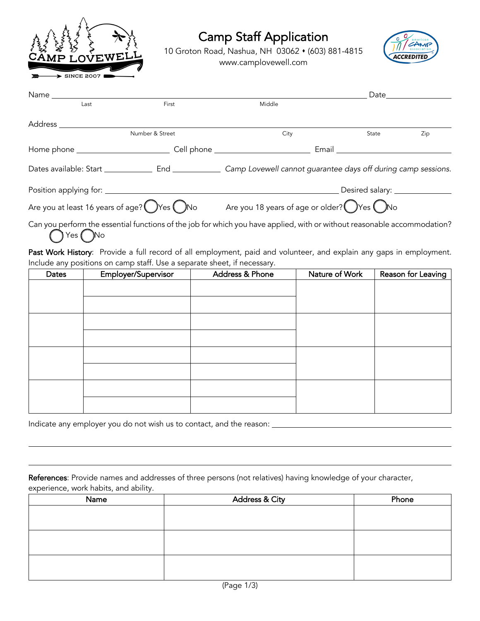

## Camp Staff Application

10 Groton Road, Nashua, NH 03062 • (603) 881-4815 www.camplovewell.com



| Name ____________                                              |                                                                                                                          |                                                                                    |       |     |
|----------------------------------------------------------------|--------------------------------------------------------------------------------------------------------------------------|------------------------------------------------------------------------------------|-------|-----|
| Last                                                           | First                                                                                                                    | Middle                                                                             |       |     |
| Address                                                        |                                                                                                                          |                                                                                    |       |     |
|                                                                | Number & Street                                                                                                          | City                                                                               | State | Zip |
|                                                                |                                                                                                                          |                                                                                    | Email |     |
| Dates available: Start _____________                           |                                                                                                                          | End ________________ Camp Lovewell cannot guarantee days off during camp sessions. |       |     |
|                                                                |                                                                                                                          |                                                                                    |       |     |
| Are you at least 16 years of age? $\bigcirc$ Yes $\bigcirc$ No |                                                                                                                          | Are you 18 years of age or older? $\bigcirc$ Yes $\bigcirc$ No                     |       |     |
|                                                                | Can you perform the essential functions of the job for which you have applied, with or without reasonable accommodation? |                                                                                    |       |     |

Yes ( )No

Past Work History: Provide a full record of all employment, paid and volunteer, and explain any gaps in employment. Include any positions on camp staff. Use a separate sheet, if necessary.

| Dates | Employer/Supervisor | Address & Phone | Nature of Work | Reason for Leaving |
|-------|---------------------|-----------------|----------------|--------------------|
|       |                     |                 |                |                    |
|       |                     |                 |                |                    |
|       |                     |                 |                |                    |
|       |                     |                 |                |                    |
|       |                     |                 |                |                    |
|       |                     |                 |                |                    |
|       |                     |                 |                |                    |
|       |                     |                 |                |                    |
|       |                     |                 |                |                    |

Indicate any employer you do not wish us to contact, and the reason:

References: Provide names and addresses of three persons (not relatives) having knowledge of your character, experience, work habits, and ability.

| Name | <b>Address &amp; City</b> | Phone |
|------|---------------------------|-------|
|      |                           |       |
|      |                           |       |
|      |                           |       |
|      |                           |       |
|      |                           |       |
|      |                           |       |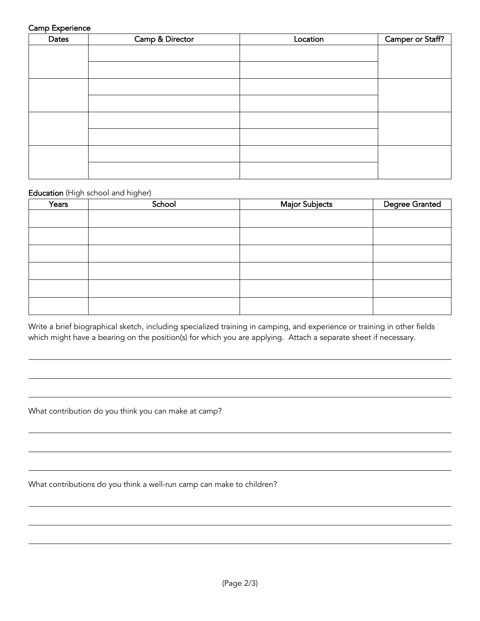## Camp Experience

| the contract of the contract of the con-<br>Dates | Camp & Director | Location | Camper or Staff? |
|---------------------------------------------------|-----------------|----------|------------------|
|                                                   |                 |          |                  |
|                                                   |                 |          |                  |
|                                                   |                 |          |                  |
|                                                   |                 |          |                  |
|                                                   |                 |          |                  |
|                                                   |                 |          |                  |
|                                                   |                 |          |                  |
|                                                   |                 |          |                  |
|                                                   |                 |          |                  |
|                                                   |                 |          |                  |
|                                                   |                 |          |                  |

## Education (High school and higher)

| Years | School | <b>Major Subjects</b> | <b>Degree Granted</b> |
|-------|--------|-----------------------|-----------------------|
|       |        |                       |                       |
|       |        |                       |                       |
|       |        |                       |                       |
|       |        |                       |                       |
|       |        |                       |                       |
|       |        |                       |                       |

Write a brief biographical sketch, including specialized training in camping, and experience or training in other fields which might have a bearing on the position(s) for which you are applying. Attach a separate sheet if necessary.

What contribution do you think you can make at camp?

What contributions do you think a well-run camp can make to children?